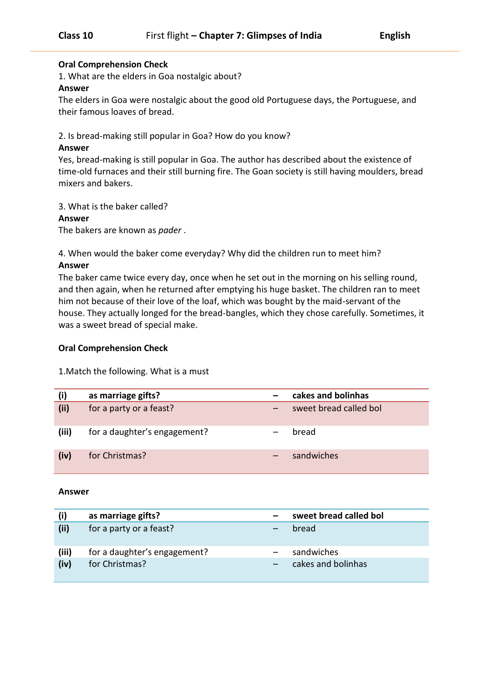## **Oral Comprehension Check**

1. What are the elders in Goa nostalgic about?

#### **Answer**

The elders in Goa were nostalgic about the good old Portuguese days, the Portuguese, and their famous loaves of bread.

2. Is bread-making still popular in Goa? How do you know?

# **Answer**

Yes, bread-making is still popular in Goa. The author has described about the existence of time-old furnaces and their still burning fire. The Goan society is still having moulders, bread mixers and bakers.

3. What is the baker called?

## **Answer**

The bakers are known as *pader* .

# 4. When would the baker come everyday? Why did the children run to meet him?

## **Answer**

The baker came twice every day, once when he set out in the morning on his selling round, and then again, when he returned after emptying his huge basket. The children ran to meet him not because of their love of the loaf, which was bought by the maid-servant of the house. They actually longed for the bread-bangles, which they chose carefully. Sometimes, it was a sweet bread of special make.

## **Oral Comprehension Check**

1.Match the following. What is a must

| (i)   | as marriage gifts?           | cakes and bolinhas     |
|-------|------------------------------|------------------------|
| (ii)  | for a party or a feast?      | sweet bread called bol |
| (iii) | for a daughter's engagement? | bread                  |
| (iv)  | for Christmas?               | sandwiches             |

#### **Answer**

|       | as marriage gifts?           | sweet bread called bol |
|-------|------------------------------|------------------------|
| (ii)  | for a party or a feast?      | bread                  |
| (iii) | for a daughter's engagement? | sandwiches             |
| (iv)  | for Christmas?               | cakes and bolinhas     |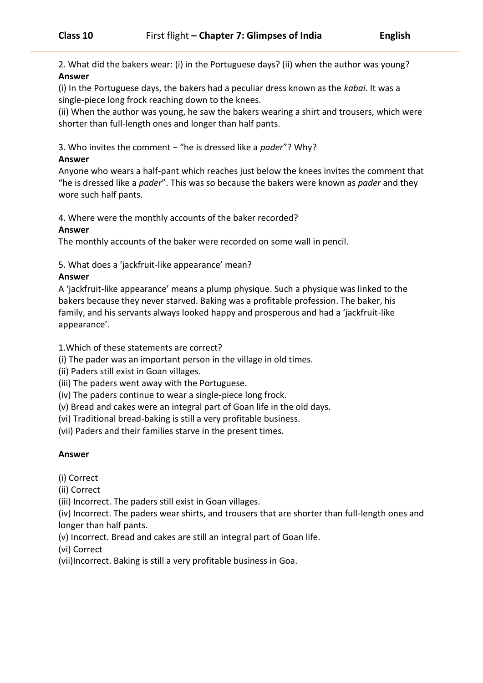2. What did the bakers wear: (i) in the Portuguese days? (ii) when the author was young? **Answer**

(i) In the Portuguese days, the bakers had a peculiar dress known as the *kabai*. It was a single-piece long frock reaching down to the knees.

(ii) When the author was young, he saw the bakers wearing a shirt and trousers, which were shorter than full-length ones and longer than half pants.

3. Who invites the comment − "he is dressed like a *pader*"? Why?

# **Answer**

Anyone who wears a half-pant which reaches just below the knees invites the comment that "he is dressed like a *pader*". This was so because the bakers were known as *pader* and they wore such half pants.

4. Where were the monthly accounts of the baker recorded?

# **Answer**

The monthly accounts of the baker were recorded on some wall in pencil.

5. What does a 'jackfruit-like appearance' mean?

# **Answer**

A 'jackfruit-like appearance' means a plump physique. Such a physique was linked to the bakers because they never starved. Baking was a profitable profession. The baker, his family, and his servants always looked happy and prosperous and had a 'jackfruit-like appearance'.

1.Which of these statements are correct?

(i) The pader was an important person in the village in old times.

(ii) Paders still exist in Goan villages.

(iii) The paders went away with the Portuguese.

(iv) The paders continue to wear a single-piece long frock.

(v) Bread and cakes were an integral part of Goan life in the old days.

(vi) Traditional bread-baking is still a very profitable business.

(vii) Paders and their families starve in the present times.

# **Answer**

(i) Correct

(ii) Correct

(iii) Incorrect. The paders still exist in Goan villages.

(iv) Incorrect. The paders wear shirts, and trousers that are shorter than full-length ones and longer than half pants.

(v) Incorrect. Bread and cakes are still an integral part of Goan life.

(vi) Correct

(vii)Incorrect. Baking is still a very profitable business in Goa.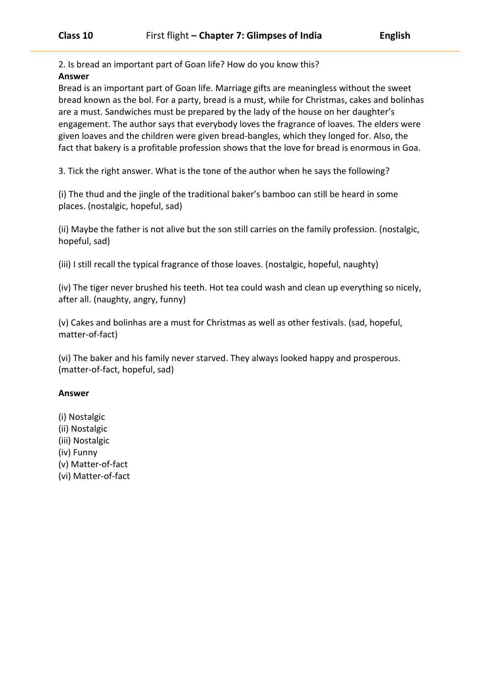2. Is bread an important part of Goan life? How do you know this?

# **Answer**

Bread is an important part of Goan life. Marriage gifts are meaningless without the sweet bread known as the bol. For a party, bread is a must, while for Christmas, cakes and bolinhas are a must. Sandwiches must be prepared by the lady of the house on her daughter's engagement. The author says that everybody loves the fragrance of loaves. The elders were given loaves and the children were given bread-bangles, which they longed for. Also, the fact that bakery is a profitable profession shows that the love for bread is enormous in Goa.

3. Tick the right answer. What is the tone of the author when he says the following?

(i) The thud and the jingle of the traditional baker's bamboo can still be heard in some places. (nostalgic, hopeful, sad)

(ii) Maybe the father is not alive but the son still carries on the family profession. (nostalgic, hopeful, sad)

(iii) I still recall the typical fragrance of those loaves. (nostalgic, hopeful, naughty)

(iv) The tiger never brushed his teeth. Hot tea could wash and clean up everything so nicely, after all. (naughty, angry, funny)

(v) Cakes and bolinhas are a must for Christmas as well as other festivals. (sad, hopeful, matter-of-fact)

(vi) The baker and his family never starved. They always looked happy and prosperous. (matter-of-fact, hopeful, sad)

## **Answer**

- (i) Nostalgic (ii) Nostalgic
- (iii) Nostalgic
- 
- (iv) Funny
- (v) Matter-of-fact
- (vi) Matter-of-fact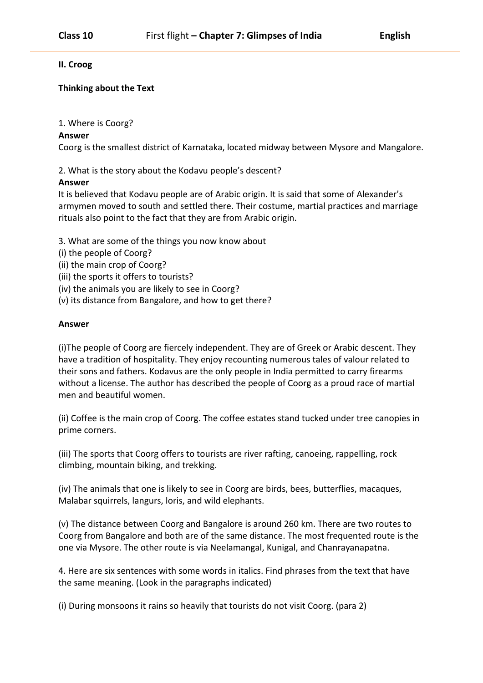**II. Croog**

# **Thinking about the Text**

1. Where is Coorg?

## **Answer**

Coorg is the smallest district of Karnataka, located midway between Mysore and Mangalore.

2. What is the story about the Kodavu people's descent?

## **Answer**

It is believed that Kodavu people are of Arabic origin. It is said that some of Alexander's armymen moved to south and settled there. Their costume, martial practices and marriage rituals also point to the fact that they are from Arabic origin.

- 3. What are some of the things you now know about
- (i) the people of Coorg?
- (ii) the main crop of Coorg?
- (iii) the sports it offers to tourists?
- (iv) the animals you are likely to see in Coorg?
- (v) its distance from Bangalore, and how to get there?

#### **Answer**

(i)The people of Coorg are fiercely independent. They are of Greek or Arabic descent. They have a tradition of hospitality. They enjoy recounting numerous tales of valour related to their sons and fathers. Kodavus are the only people in India permitted to carry firearms without a license. The author has described the people of Coorg as a proud race of martial men and beautiful women.

(ii) Coffee is the main crop of Coorg. The coffee estates stand tucked under tree canopies in prime corners.

(iii) The sports that Coorg offers to tourists are river rafting, canoeing, rappelling, rock climbing, mountain biking, and trekking.

(iv) The animals that one is likely to see in Coorg are birds, bees, butterflies, macaques, Malabar squirrels, langurs, loris, and wild elephants.

(v) The distance between Coorg and Bangalore is around 260 km. There are two routes to Coorg from Bangalore and both are of the same distance. The most frequented route is the one via Mysore. The other route is via Neelamangal, Kunigal, and Chanrayanapatna.

4. Here are six sentences with some words in italics. Find phrases from the text that have the same meaning. (Look in the paragraphs indicated)

(i) During monsoons it rains so heavily that tourists do not visit Coorg. (para 2)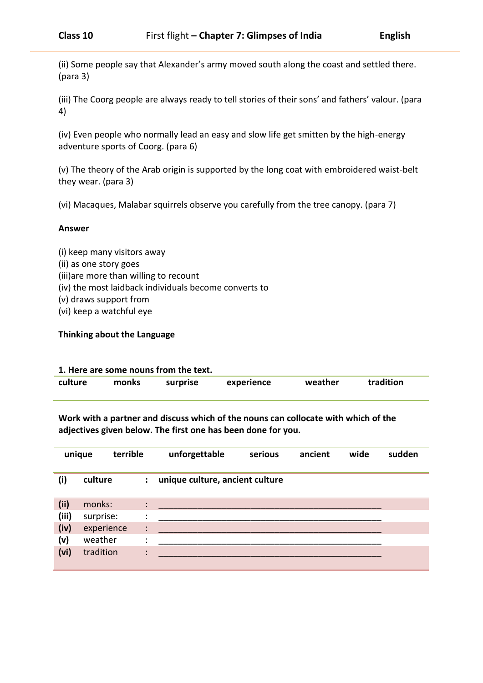(ii) Some people say that Alexander's army moved south along the coast and settled there. (para 3)

(iii) The Coorg people are always ready to tell stories of their sons' and fathers' valour. (para 4)

(iv) Even people who normally lead an easy and slow life get smitten by the high-energy adventure sports of Coorg. (para 6)

(v) The theory of the Arab origin is supported by the long coat with embroidered waist-belt they wear. (para 3)

(vi) Macaques, Malabar squirrels observe you carefully from the tree canopy. (para 7)

#### **Answer**

- (i) keep many visitors away
- (ii) as one story goes
- (iii)are more than willing to recount
- (iv) the most laidback individuals become converts to
- (v) draws support from
- (vi) keep a watchful eye

#### **Thinking about the Language**

# **1. Here are some nouns from the text. culture monks surprise experience weather tradition**

**Work with a partner and discuss which of the nouns can collocate with which of the adjectives given below. The first one has been done for you.**

|       | unique     | terrible       | unforgettable                   | serious | ancient | wide | sudden |
|-------|------------|----------------|---------------------------------|---------|---------|------|--------|
| (i)   | culture    | ÷              | unique culture, ancient culture |         |         |      |        |
| (ii)  | monks:     | $\ddot{\cdot}$ |                                 |         |         |      |        |
| (iii) | surprise:  | ٠<br>$\cdot$   |                                 |         |         |      |        |
| (iv)  | experience | $\ddot{\cdot}$ |                                 |         |         |      |        |
| (v)   | weather    | ٠<br>$\cdot$   |                                 |         |         |      |        |
| (vi)  | tradition  | $\ddot{\cdot}$ |                                 |         |         |      |        |
|       |            |                |                                 |         |         |      |        |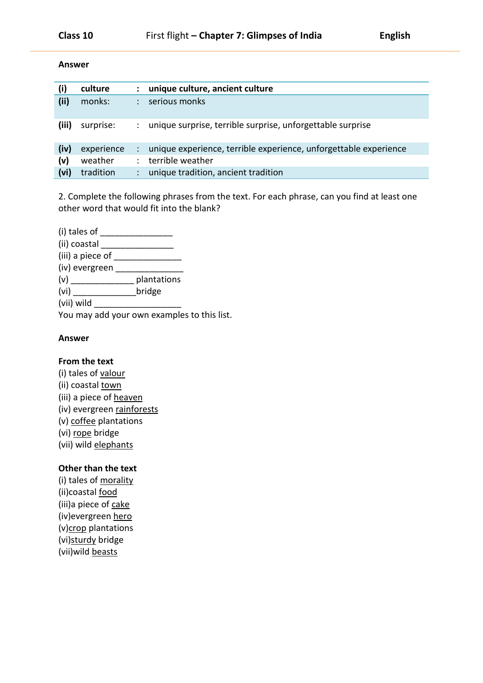#### **Answer**

| (i)   | culture    | ፡ | unique culture, ancient culture                                  |
|-------|------------|---|------------------------------------------------------------------|
| (ii)  | monks:     |   | serious monks                                                    |
| (iii) | surprise:  |   | unique surprise, terrible surprise, unforgettable surprise       |
| (iv)  | experience |   | unique experience, terrible experience, unforgettable experience |
| (v)   | weather    | ÷ | terrible weather                                                 |
| (vi)  | tradition  |   | unique tradition, ancient tradition                              |

2. Complete the following phrases from the text. For each phrase, can you find at least one other word that would fit into the blank?

(i) tales of \_\_\_\_\_\_\_\_\_\_\_\_\_\_\_ (ii) coastal \_\_\_\_\_\_\_\_\_\_\_\_\_\_\_ (iii) a piece of \_\_\_\_\_\_\_\_\_\_\_\_\_\_ (iv) evergreen \_\_\_\_\_\_\_\_\_\_\_\_\_\_ (v) \_\_\_\_\_\_\_\_\_\_\_\_\_ plantations (vi) \_\_\_\_\_\_\_\_\_\_\_\_\_\_\_\_\_\_\_\_\_\_\_\_\_\_\_\_\_\_bridge  $(vii)$  wild You may add your own examples to this list.

#### **Answer**

#### **From the text**

(i) tales of valour (ii) coastal town (iii) a piece of heaven (iv) evergreen rainforests (v) coffee plantations (vi) rope bridge (vii) wild elephants

# **Other than the text**

(i) tales of morality (ii)coastal food (iii)a piece of cake (iv)evergreen hero (v)crop plantations (vi)sturdy bridge (vii)wild beasts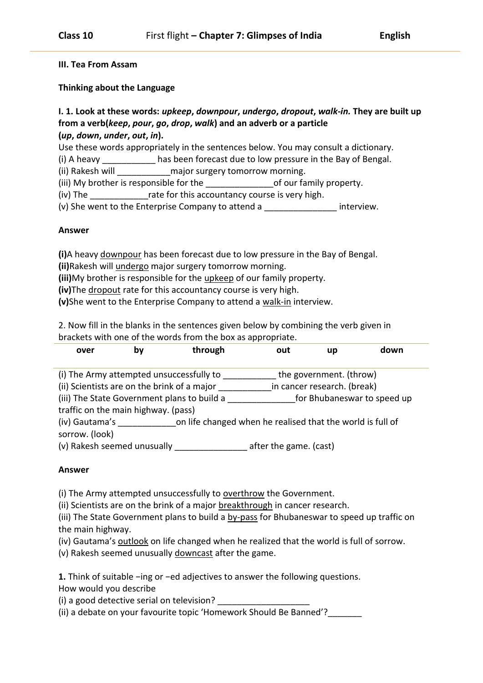# **III. Tea From Assam**

# **Thinking about the Language**

# **I. 1. Look at these words:** *upkeep***,** *downpour***,** *undergo***,** *dropout***,** *walk-in.* **They are built up from a verb(***keep***,** *pour***,** *go***,** *drop***,** *walk***) and an adverb or a particle (***up***,** *down***,** *under***,** *out***,** *in***).**

Use these words appropriately in the sentences below. You may consult a dictionary.

(i) A heavy \_\_\_\_\_\_\_\_\_\_\_ has been forecast due to low pressure in the Bay of Bengal.

(ii) Rakesh will \_\_\_\_\_\_\_\_\_\_\_\_\_\_\_major surgery tomorrow morning.

(iii) My brother is responsible for the \_\_\_\_\_\_\_\_\_\_\_\_\_\_\_\_\_\_\_\_of our family property.

(iv) The The rate for this accountancy course is very high.

(v) She went to the Enterprise Company to attend a \_\_\_\_\_\_\_\_\_\_\_\_\_\_\_ interview.

## **Answer**

**(i)**A heavy downpour has been forecast due to low pressure in the Bay of Bengal.

**(ii)**Rakesh will undergo major surgery tomorrow morning.

**(iii)**My brother is responsible for the upkeep of our family property.

**(iv)**The dropout rate for this accountancy course is very high.

**(v)**She went to the Enterprise Company to attend a walk-in interview.

2. Now fill in the blanks in the sentences given below by combining the verb given in brackets with one of the words from the box as appropriate.

| over                                                                                    | b٧ | through                                                                   | out                    | up                                                     | down                        |
|-----------------------------------------------------------------------------------------|----|---------------------------------------------------------------------------|------------------------|--------------------------------------------------------|-----------------------------|
| (i) The Army attempted unsuccessfully to<br>(ii) Scientists are on the brink of a major |    |                                                                           |                        | the government. (throw)<br>in cancer research. (break) |                             |
| traffic on the main highway. (pass)                                                     |    | (iii) The State Government plans to build a                               |                        |                                                        | for Bhubaneswar to speed up |
| sorrow. (look)                                                                          |    | (iv) Gautama's on life changed when he realised that the world is full of |                        |                                                        |                             |
| (v) Rakesh seemed unusually                                                             |    |                                                                           | after the game. (cast) |                                                        |                             |

# **Answer**

(i) The Army attempted unsuccessfully to overthrow the Government.

(ii) Scientists are on the brink of a major breakthrough in cancer research.

(iii) The State Government plans to build a by-pass for Bhubaneswar to speed up traffic on the main highway.

(iv) Gautama's outlook on life changed when he realized that the world is full of sorrow.

(v) Rakesh seemed unusually downcast after the game.

**1.** Think of suitable −ing or −ed adjectives to answer the following questions. How would you describe

(i) a good detective serial on television?

(ii) a debate on your favourite topic 'Homework Should Be Banned'?